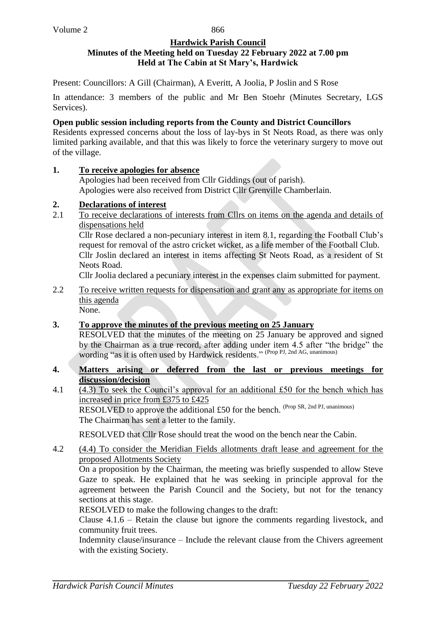866

#### **Hardwick Parish Council Minutes of the Meeting held on Tuesday 22 February 2022 at 7.00 pm Held at The Cabin at St Mary's, Hardwick**

Present: Councillors: A Gill (Chairman), A Everitt, A Joolia, P Joslin and S Rose

In attendance: 3 members of the public and Mr Ben Stoehr (Minutes Secretary, LGS Services).

# **Open public session including reports from the County and District Councillors**

Residents expressed concerns about the loss of lay-bys in St Neots Road, as there was only limited parking available, and that this was likely to force the veterinary surgery to move out of the village.

## **1. To receive apologies for absence**

Apologies had been received from Cllr Giddings (out of parish). Apologies were also received from District Cllr Grenville Chamberlain.

# **2. Declarations of interest**

2.1 To receive declarations of interests from Cllrs on items on the agenda and details of dispensations held

Cllr Rose declared a non-pecuniary interest in item 8.1, regarding the Football Club's request for removal of the astro cricket wicket, as a life member of the Football Club. Cllr Joslin declared an interest in items affecting St Neots Road, as a resident of St Neots Road.

Cllr Joolia declared a pecuniary interest in the expenses claim submitted for payment.

2.2 To receive written requests for dispensation and grant any as appropriate for items on this agenda None.

# **3. To approve the minutes of the previous meeting on 25 January**

RESOLVED that the minutes of the meeting on 25 January be approved and signed by the Chairman as a true record, after adding under item 4.5 after "the bridge" the wording "as it is often used by Hardwick residents." (Prop PJ, 2nd AG, unanimous)

## **4. Matters arising or deferred from the last or previous meetings for discussion/decision**

4.1  $\sqrt{(4.3)}$  To seek the Council's approval for an additional £50 for the bench which has increased in price from £375 to £425 RESOLVED to approve the additional £50 for the bench. <sup>(Prop SR, 2nd PJ, unanimous)</sup>

The Chairman has sent a letter to the family.

RESOLVED that Cllr Rose should treat the wood on the bench near the Cabin.

4.2 (4.4) To consider the Meridian Fields allotments draft lease and agreement for the proposed Allotments Society

On a proposition by the Chairman, the meeting was briefly suspended to allow Steve Gaze to speak. He explained that he was seeking in principle approval for the agreement between the Parish Council and the Society, but not for the tenancy sections at this stage.

RESOLVED to make the following changes to the draft:

Clause 4.1.6 – Retain the clause but ignore the comments regarding livestock, and community fruit trees.

Indemnity clause/insurance – Include the relevant clause from the Chivers agreement with the existing Society.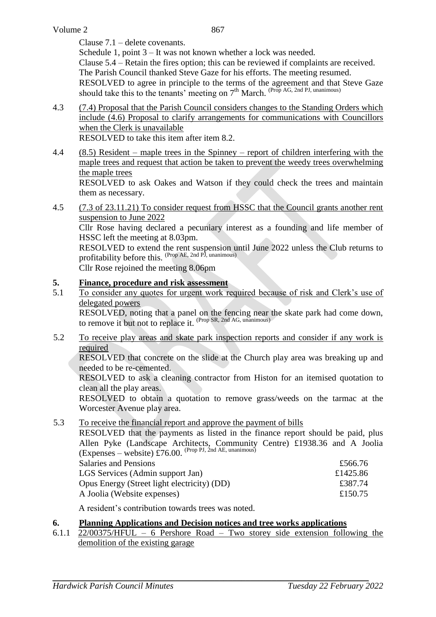Clause 7.1 – delete covenants.

Schedule 1, point 3 – It was not known whether a lock was needed. Clause 5.4 – Retain the fires option; this can be reviewed if complaints are received.

The Parish Council thanked Steve Gaze for his efforts. The meeting resumed.

RESOLVED to agree in principle to the terms of the agreement and that Steve Gaze should take this to the tenants' meeting on  $7<sup>th</sup>$  March. (Prop AG, 2nd PJ, unanimous)

- 4.3 (7.4) Proposal that the Parish Council considers changes to the Standing Orders which include (4.6) Proposal to clarify arrangements for communications with Councillors when the Clerk is unavailable RESOLVED to take this item after item 8.2.
- 4.4 (8.5) Resident maple trees in the Spinney report of children interfering with the maple trees and request that action be taken to prevent the weedy trees overwhelming the maple trees

RESOLVED to ask Oakes and Watson if they could check the trees and maintain them as necessary.

4.5 (7.3 of 23.11.21) To consider request from HSSC that the Council grants another rent suspension to June 2022

Cllr Rose having declared a pecuniary interest as a founding and life member of HSSC left the meeting at 8.03pm.

RESOLVED to extend the rent suspension until June 2022 unless the Club returns to profitability before this. <sup>(Prop AE, 2nd PJ, unanimous)</sup>

Cllr Rose rejoined the meeting 8.06pm

# **5. Finance, procedure and risk assessment**

5.1 To consider any quotes for urgent work required because of risk and Clerk's use of delegated powers

RESOLVED, noting that a panel on the fencing near the skate park had come down, to remove it but not to replace it. <sup>(Prop SR, 2nd AG, unanimous)</sup>

5.2 To receive play areas and skate park inspection reports and consider if any work is required

RESOLVED that concrete on the slide at the Church play area was breaking up and needed to be re-cemented.

RESOLVED to ask a cleaning contractor from Histon for an itemised quotation to clean all the play areas.

RESOLVED to obtain a quotation to remove grass/weeds on the tarmac at the Worcester Avenue play area.

5.3 To receive the financial report and approve the payment of bills

RESOLVED that the payments as listed in the finance report should be paid, plus Allen Pyke (Landscape Architects, Community Centre) £1938.36 and A Joolia (Expenses – website) £76.00. (Prop PJ, 2nd AE, unanimous) Salaries and Pensions **Example 20** and 20 and 20 and 20 and 20 and 20 and 20 and 20 and 20 and 20 and 20 and 20 and 20 and 20 and 20 and 20 and 20 and 20 and 20 and 20 and 20 and 20 and 20 and 20 and 20 and 20 and 20 and 2 LGS Services (Admin support Jan) £1425.86

| Opus Energy (Street light electricity) (DD) | £387.74 |
|---------------------------------------------|---------|
| A Joolia (Website expenses)                 | £150.75 |

A resident's contribution towards trees was noted.

## **6. Planning Applications and Decision notices and tree works applications**

6.1.1 22/00375/HFUL – 6 Pershore Road – Two storey side extension following the demolition of the existing garage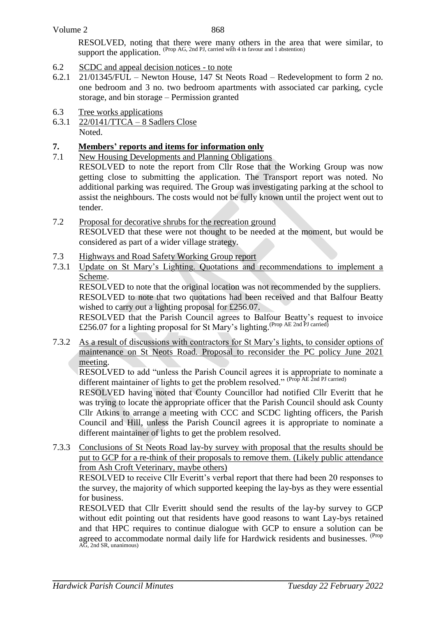RESOLVED, noting that there were many others in the area that were similar, to support the application. (Prop AG, 2nd PJ, carried with 4 in favour and 1 abstention)

- 6.2 SCDC and appeal decision notices to note
- 6.2.1 21/01345/FUL Newton House, 147 St Neots Road Redevelopment to form 2 no. one bedroom and 3 no. two bedroom apartments with associated car parking, cycle storage, and bin storage – Permission granted
- 6.3 Tree works applications
- 6.3.1 22/0141/TTCA 8 Sadlers Close Noted.

# **7. Members' reports and items for information only**

7.1 New Housing Developments and Planning Obligations

RESOLVED to note the report from Cllr Rose that the Working Group was now getting close to submitting the application. The Transport report was noted. No additional parking was required. The Group was investigating parking at the school to assist the neighbours. The costs would not be fully known until the project went out to tender.

- 7.2 Proposal for decorative shrubs for the recreation ground RESOLVED that these were not thought to be needed at the moment, but would be considered as part of a wider village strategy.
- 7.3 Highways and Road Safety Working Group report
- 7.3.1 Update on St Mary's Lighting. Quotations and recommendations to implement a Scheme.

RESOLVED to note that the original location was not recommended by the suppliers. RESOLVED to note that two quotations had been received and that Balfour Beatty wished to carry out a lighting proposal for £256.07.

RESOLVED that the Parish Council agrees to Balfour Beatty's request to invoice £256.07 for a lighting proposal for St Mary's lighting. (Prop AE 2nd PJ carried)

7.3.2 As a result of discussions with contractors for St Mary's lights, to consider options of maintenance on St Neots Road. Proposal to reconsider the PC policy June 2021 meeting.

RESOLVED to add "unless the Parish Council agrees it is appropriate to nominate a different maintainer of lights to get the problem resolved." (Prop AE 2nd PJ carried)

RESOLVED having noted that County Councillor had notified Cllr Everitt that he was trying to locate the appropriate officer that the Parish Council should ask County Cllr Atkins to arrange a meeting with CCC and SCDC lighting officers, the Parish Council and Hill, unless the Parish Council agrees it is appropriate to nominate a different maintainer of lights to get the problem resolved.

7.3.3 Conclusions of St Neots Road lay-by survey with proposal that the results should be put to GCP for a re-think of their proposals to remove them. (Likely public attendance from Ash Croft Veterinary, maybe others)

RESOLVED to receive Cllr Everitt's verbal report that there had been 20 responses to the survey, the majority of which supported keeping the lay-bys as they were essential for business.

RESOLVED that Cllr Everitt should send the results of the lay-by survey to GCP without edit pointing out that residents have good reasons to want Lay-bys retained and that HPC requires to continue dialogue with GCP to ensure a solution can be agreed to accommodate normal daily life for Hardwick residents and businesses. <sup>(Prop</sup> AG, 2nd SR, unanimous)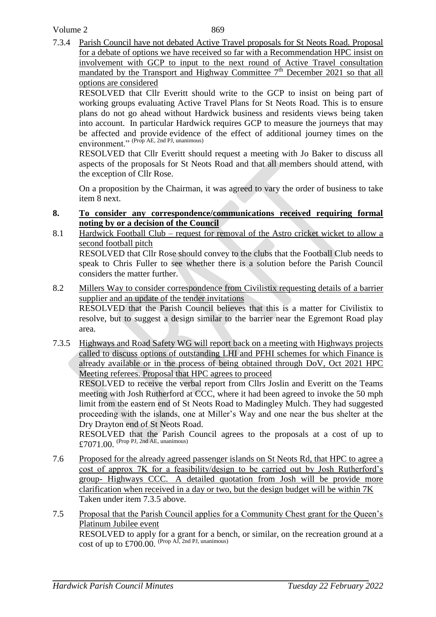## Volume 2

7.3.4 Parish Council have not debated Active Travel proposals for St Neots Road. Proposal for a debate of options we have received so far with a Recommendation HPC insist on involvement with GCP to input to the next round of Active Travel consultation mandated by the Transport and Highway Committee  $7<sup>th</sup>$  December 2021 so that all options are considered

RESOLVED that Cllr Everitt should write to the GCP to insist on being part of working groups evaluating Active Travel Plans for St Neots Road. This is to ensure plans do not go ahead without Hardwick business and residents views being taken into account. In particular Hardwick requires GCP to measure the journeys that may be affected and provide evidence of the effect of additional journey times on the  $\frac{1}{2}$  environment." (Prop AE, 2nd PJ, unanimous)

RESOLVED that Cllr Everitt should request a meeting with Jo Baker to discuss all aspects of the proposals for St Neots Road and that all members should attend, with the exception of Cllr Rose.

On a proposition by the Chairman, it was agreed to vary the order of business to take item 8 next.

## **8. To consider any correspondence/communications received requiring formal noting by or a decision of the Council**

- 8.1 Hardwick Football Club request for removal of the Astro cricket wicket to allow a second football pitch RESOLVED that Cllr Rose should convey to the clubs that the Football Club needs to speak to Chris Fuller to see whether there is a solution before the Parish Council
- 8.2 Millers Way to consider correspondence from Civilistix requesting details of a barrier supplier and an update of the tender invitations RESOLVED that the Parish Council believes that this is a matter for Civilistix to resolve, but to suggest a design similar to the barrier near the Egremont Road play
- 7.3.5 Highways and Road Safety WG will report back on a meeting with Highways projects called to discuss options of outstanding LHI and PFHI schemes for which Finance is already available or in the process of being obtained through DoV, Oct 2021 HPC Meeting referees. Proposal that HPC agrees to proceed

RESOLVED to receive the verbal report from Cllrs Joslin and Everitt on the Teams meeting with Josh Rutherford at CCC, where it had been agreed to invoke the 50 mph limit from the eastern end of St Neots Road to Madingley Mulch. They had suggested proceeding with the islands, one at Miller's Way and one near the bus shelter at the Dry Drayton end of St Neots Road.

RESOLVED that the Parish Council agrees to the proposals at a cost of up to £7071.00. (Prop PJ, 2nd AE, unanimous)

- 7.6 Proposed for the already agreed passenger islands on St Neots Rd, that HPC to agree a cost of approx 7K for a feasibility/design to be carried out by Josh Rutherford's group- Highways CCC. A detailed quotation from Josh will be provide more clarification when received in a day or two, but the design budget will be within 7K Taken under item 7.3.5 above.
- 7.5 Proposal that the Parish Council applies for a Community Chest grant for the Queen's Platinum Jubilee event RESOLVED to apply for a grant for a bench, or similar, on the recreation ground at a cost of up to  $£700.00$ . (Prop AJ, 2nd PJ, unanimous)

considers the matter further.

area.